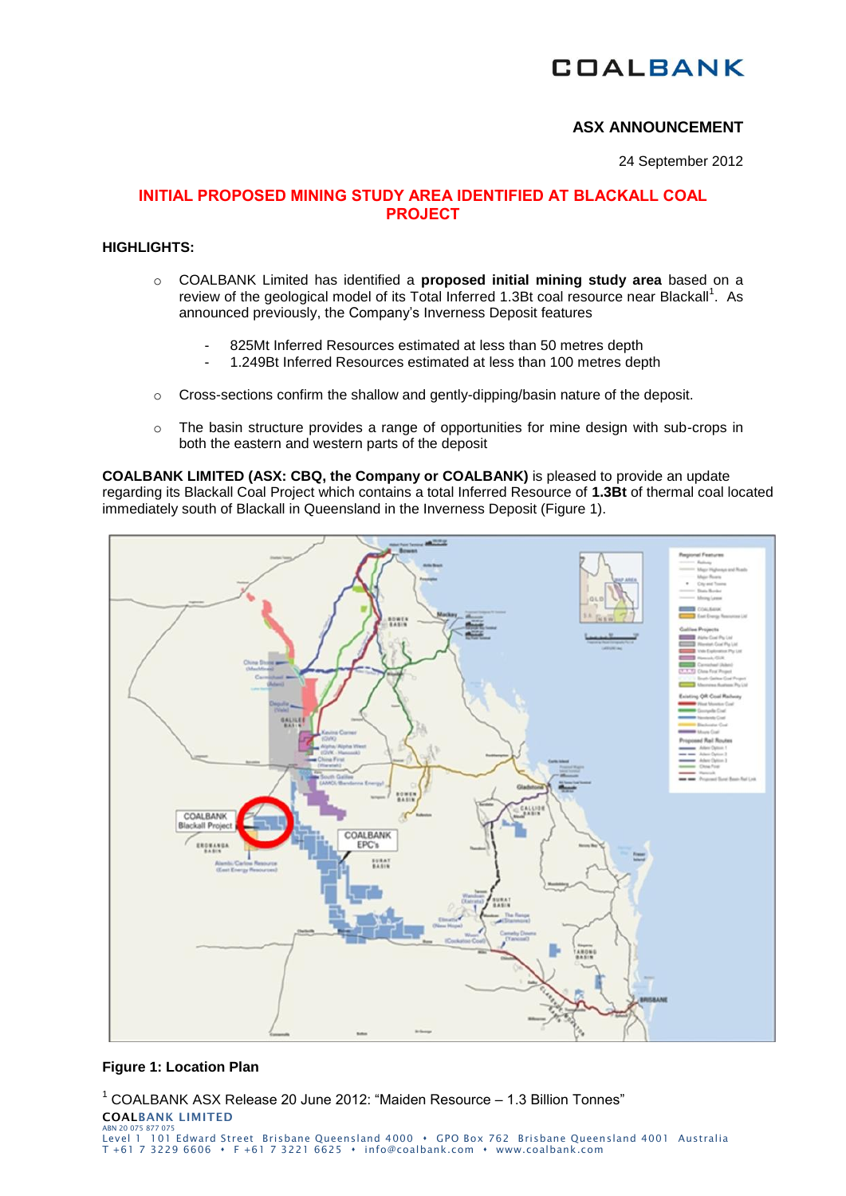# **COALBANK**

# **ASX ANNOUNCEMENT**

24 September 2012

# **INITIAL PROPOSED MINING STUDY AREA IDENTIFIED AT BLACKALL COAL PROJECT**

## **HIGHLIGHTS:**

- o COALBANK Limited has identified a **proposed initial mining study area** based on a review of the geological model of its Total Inferred 1.3Bt coal resource near Blackall<sup>1</sup>. As announced previously, the Company's Inverness Deposit features
	- 825Mt Inferred Resources estimated at less than 50 metres depth
	- 1.249Bt Inferred Resources estimated at less than 100 metres depth
- $\circ$  Cross-sections confirm the shallow and gently-dipping/basin nature of the deposit.
- o The basin structure provides a range of opportunities for mine design with sub-crops in both the eastern and western parts of the deposit

**COALBANK LIMITED (ASX: CBQ, the Company or COALBANK)** is pleased to provide an update regarding its Blackall Coal Project which contains a total Inferred Resource of **1.3Bt** of thermal coal located immediately south of Blackall in Queensland in the Inverness Deposit (Figure 1).



## **Figure 1: Location Plan**

**COALBANK LIMITED** ABN 20075 877 075<br>Level 1 101 Edward Street Brisbane Queensland 4000 • GPO Box 762 Brisbane Queensland 4001 Australia T +61 7 3229 6606 • F +61 7 3221 6625 • info@coalbank.com • www.coalbank.com <sup>1</sup> COALBANK ASX Release 20 June 2012: "Maiden Resource – 1.3 Billion Tonnes"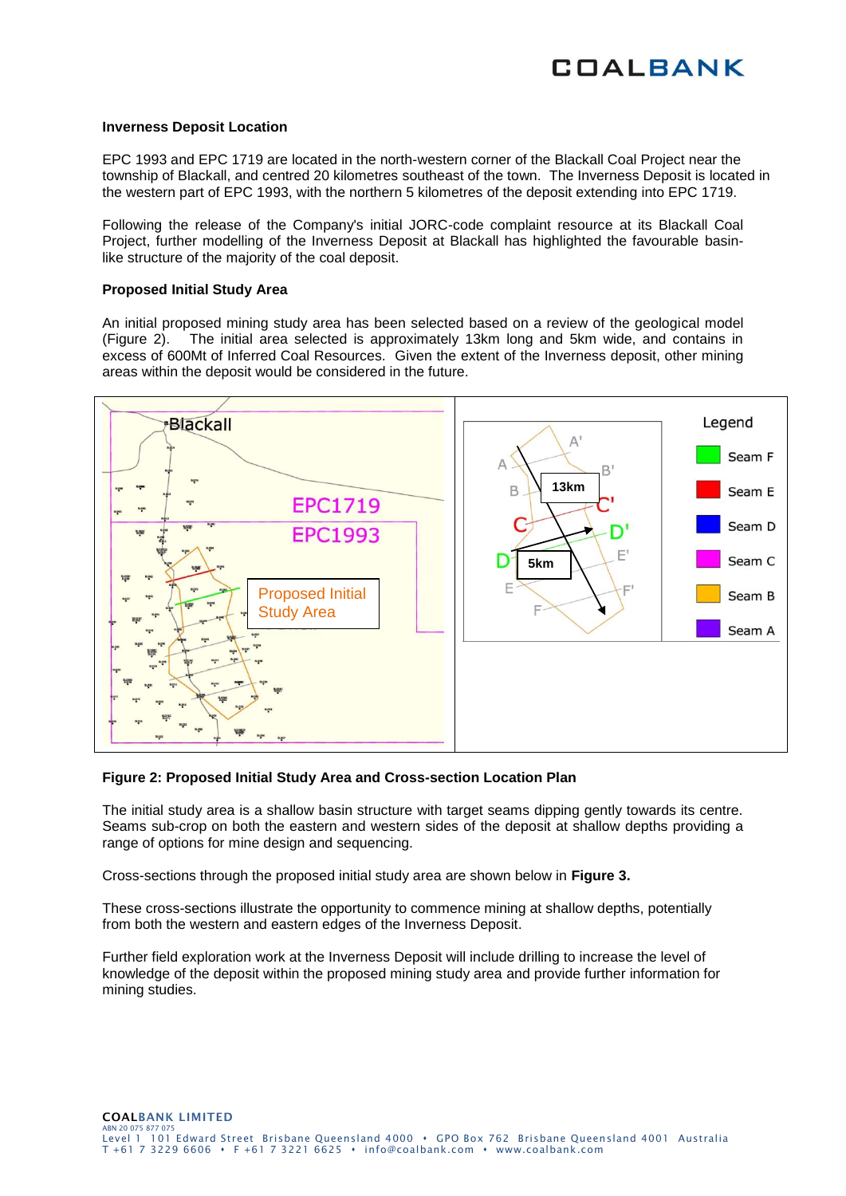#### **Inverness Deposit Location**

EPC 1993 and EPC 1719 are located in the north-western corner of the Blackall Coal Project near the township of Blackall, and centred 20 kilometres southeast of the town. The Inverness Deposit is located in the western part of EPC 1993, with the northern 5 kilometres of the deposit extending into EPC 1719.

Following the release of the Company's initial JORC-code complaint resource at its Blackall Coal Project, further modelling of the Inverness Deposit at Blackall has highlighted the favourable basinlike structure of the majority of the coal deposit.

#### **Proposed Initial Study Area**

An initial proposed mining study area has been selected based on a review of the geological model (Figure 2). The initial area selected is approximately 13km long and 5km wide, and contains in excess of 600Mt of Inferred Coal Resources. Given the extent of the Inverness deposit, other mining areas within the deposit would be considered in the future.



#### **Figure 2: Proposed Initial Study Area and Cross-section Location Plan**

The initial study area is a shallow basin structure with target seams dipping gently towards its centre. Seams sub-crop on both the eastern and western sides of the deposit at shallow depths providing a range of options for mine design and sequencing.

Cross-sections through the proposed initial study area are shown below in **Figure 3.**

These cross-sections illustrate the opportunity to commence mining at shallow depths, potentially from both the western and eastern edges of the Inverness Deposit.

Further field exploration work at the Inverness Deposit will include drilling to increase the level of knowledge of the deposit within the proposed mining study area and provide further information for mining studies.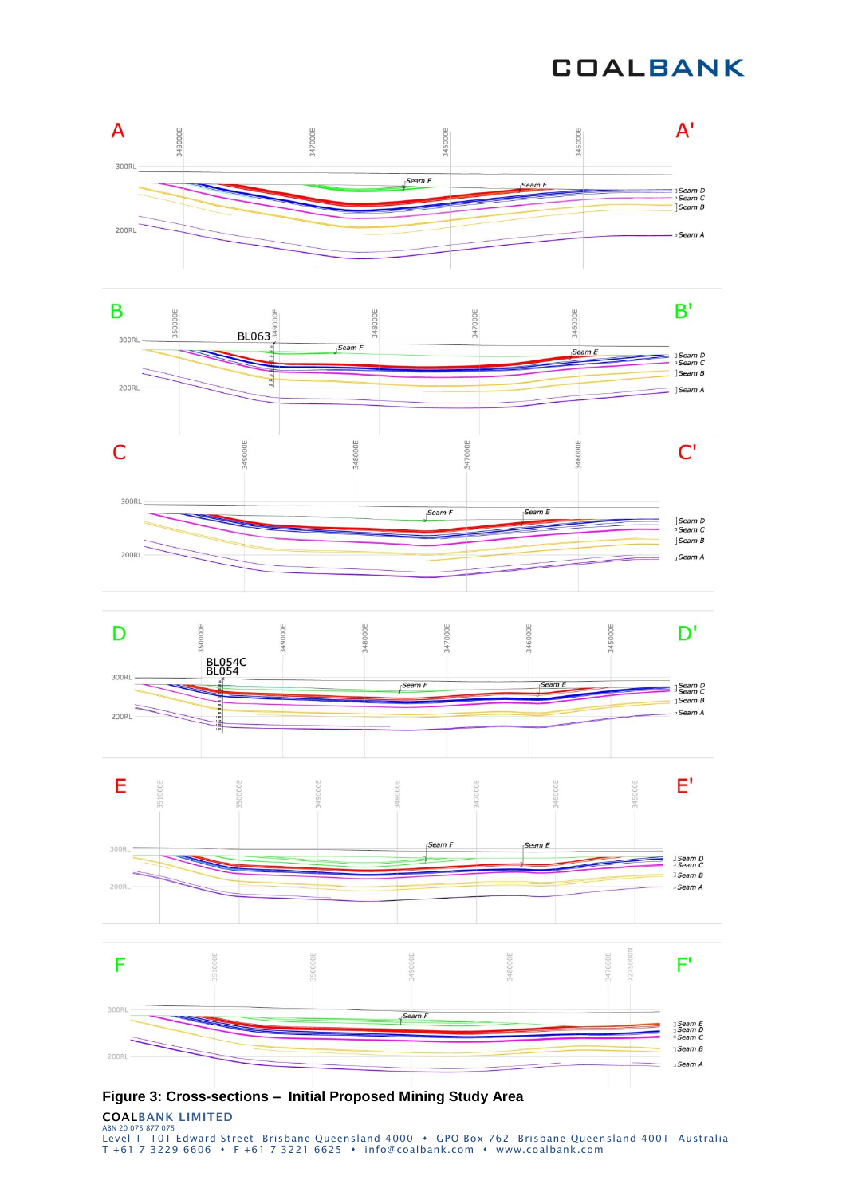# **COALBANK**



**Figure 3: Cross-sections – Initial Proposed Mining Study Area**

**COALBANK LIMITED** ABN 20075 877 075<br>Level 1 101 Edward Street Brisbane Queensland 4000 • GPO Box 762 Brisbane Queensland 4001 Australia T +61 7 3229 6606 F +61 7 3221 6625 info@coalbank.com www.coalbank.com